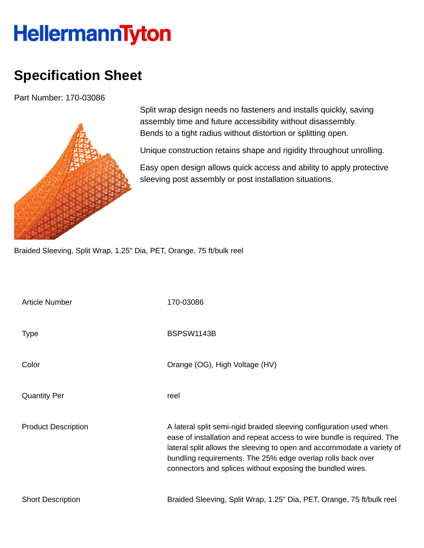## **HellermannTyton**

## **Specification Sheet**

Part Number: 170-03086



Split wrap design needs no fasteners and installs quickly, saving assembly time and future accessibility without disassembly. Bends to a tight radius without distortion or splitting open.

Unique construction retains shape and rigidity throughout unrolling.

Easy open design allows quick access and ability to apply protective sleeving post assembly or post installation situations.

Braided Sleeving, Split Wrap, 1.25" Dia, PET, Orange, 75 ft/bulk reel

| <b>Article Number</b>      | 170-03086                                                                                                                                                                                                                                                                                                                                            |
|----------------------------|------------------------------------------------------------------------------------------------------------------------------------------------------------------------------------------------------------------------------------------------------------------------------------------------------------------------------------------------------|
| <b>Type</b>                | BSPSW1143B                                                                                                                                                                                                                                                                                                                                           |
| Color                      | Orange (OG), High Voltage (HV)                                                                                                                                                                                                                                                                                                                       |
| <b>Quantity Per</b>        | reel                                                                                                                                                                                                                                                                                                                                                 |
| <b>Product Description</b> | A lateral split semi-rigid braided sleeving configuration used when<br>ease of installation and repeat access to wire bundle is required. The<br>lateral split allows the sleeving to open and accommodate a variety of<br>bundling requirements. The 25% edge overlap rolls back over<br>connectors and splices without exposing the bundled wires. |
| <b>Short Description</b>   | Braided Sleeving, Split Wrap, 1.25" Dia, PET, Orange, 75 ft/bulk reel                                                                                                                                                                                                                                                                                |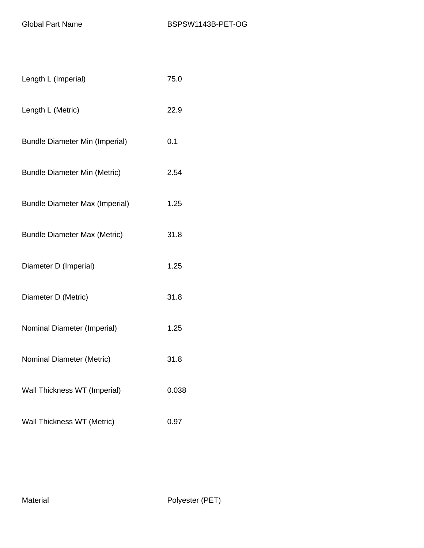| Length L (Imperial)                   | 75.0  |
|---------------------------------------|-------|
| Length L (Metric)                     | 22.9  |
| <b>Bundle Diameter Min (Imperial)</b> | 0.1   |
| <b>Bundle Diameter Min (Metric)</b>   | 2.54  |
| <b>Bundle Diameter Max (Imperial)</b> | 1.25  |
| <b>Bundle Diameter Max (Metric)</b>   | 31.8  |
| Diameter D (Imperial)                 | 1.25  |
| Diameter D (Metric)                   | 31.8  |
| Nominal Diameter (Imperial)           | 1.25  |
| Nominal Diameter (Metric)             | 31.8  |
| Wall Thickness WT (Imperial)          | 0.038 |
| Wall Thickness WT (Metric)            | 0.97  |